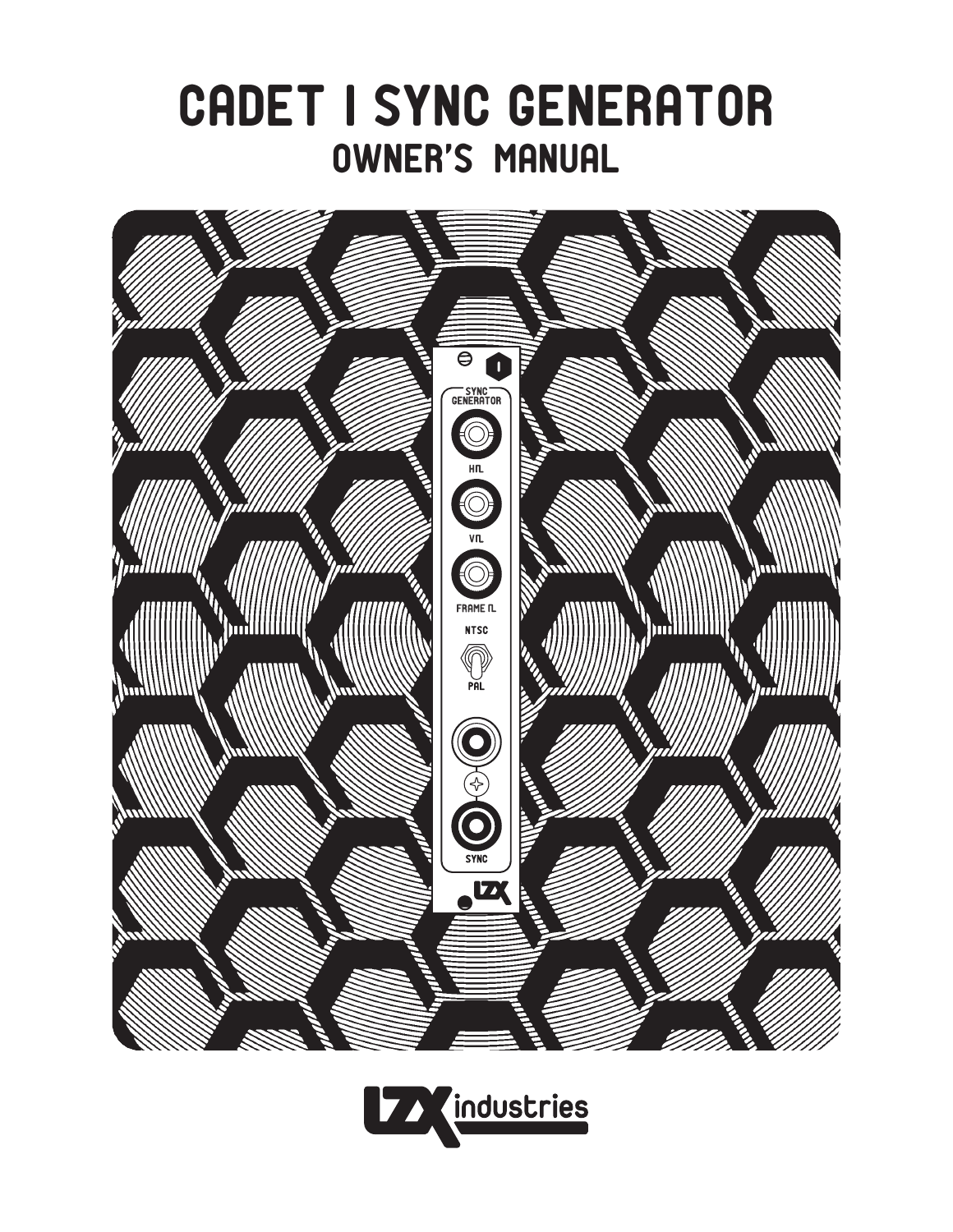



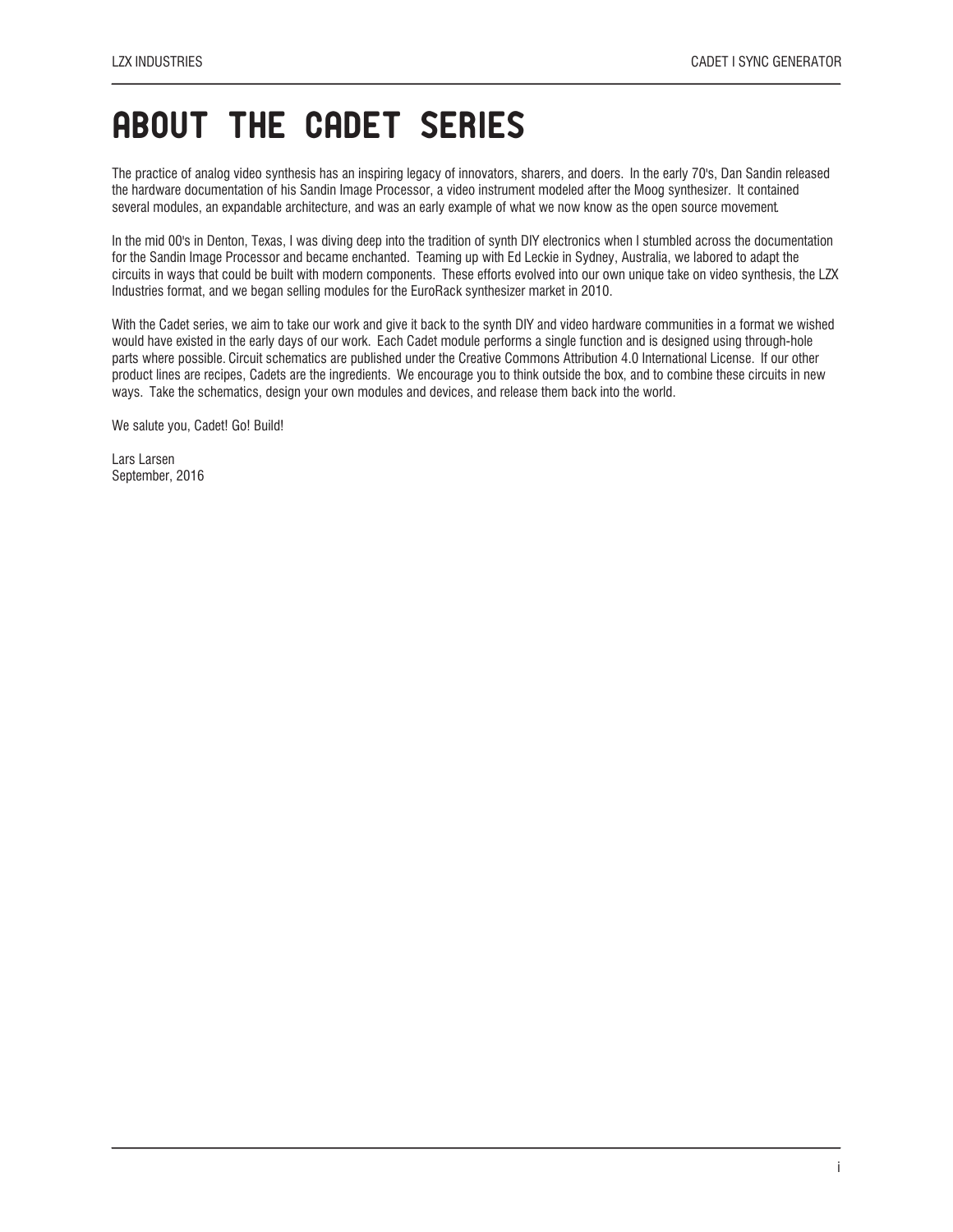### ABOUT THE CADET SERIES

The practice of analog video synthesis has an inspiring legacy of innovators, sharers, and doers. In the early 70's, Dan Sandin released the hardware documentation of his Sandin Image Processor, a video instrument modeled after the Moog synthesizer. It contained several modules, an expandable architecture, and was an early example of what we now know as the open source movement.

In the mid 00's in Denton, Texas, I was diving deep into the tradition of synth DIY electronics when I stumbled across the documentation for the Sandin Image Processor and became enchanted. Teaming up with Ed Leckie in Sydney, Australia, we labored to adapt the circuits in ways that could be built with modern components. These efforts evolved into our own unique take on video synthesis, the LZX Industries format, and we began selling modules for the EuroRack synthesizer market in 2010.

With the Cadet series, we aim to take our work and give it back to the synth DIY and video hardware communities in a format we wished would have existed in the early days of our work. Each Cadet module performs a single function and is designed using through-hole parts where possible. Circuit schematics are published under the Creative Commons Attribution 4.0 International License. If our other product lines are recipes, Cadets are the ingredients. We encourage you to think outside the box, and to combine these circuits in new ways. Take the schematics, design your own modules and devices, and release them back into the world.

We salute you, Cadet! Go! Build!

Lars Larsen September, 2016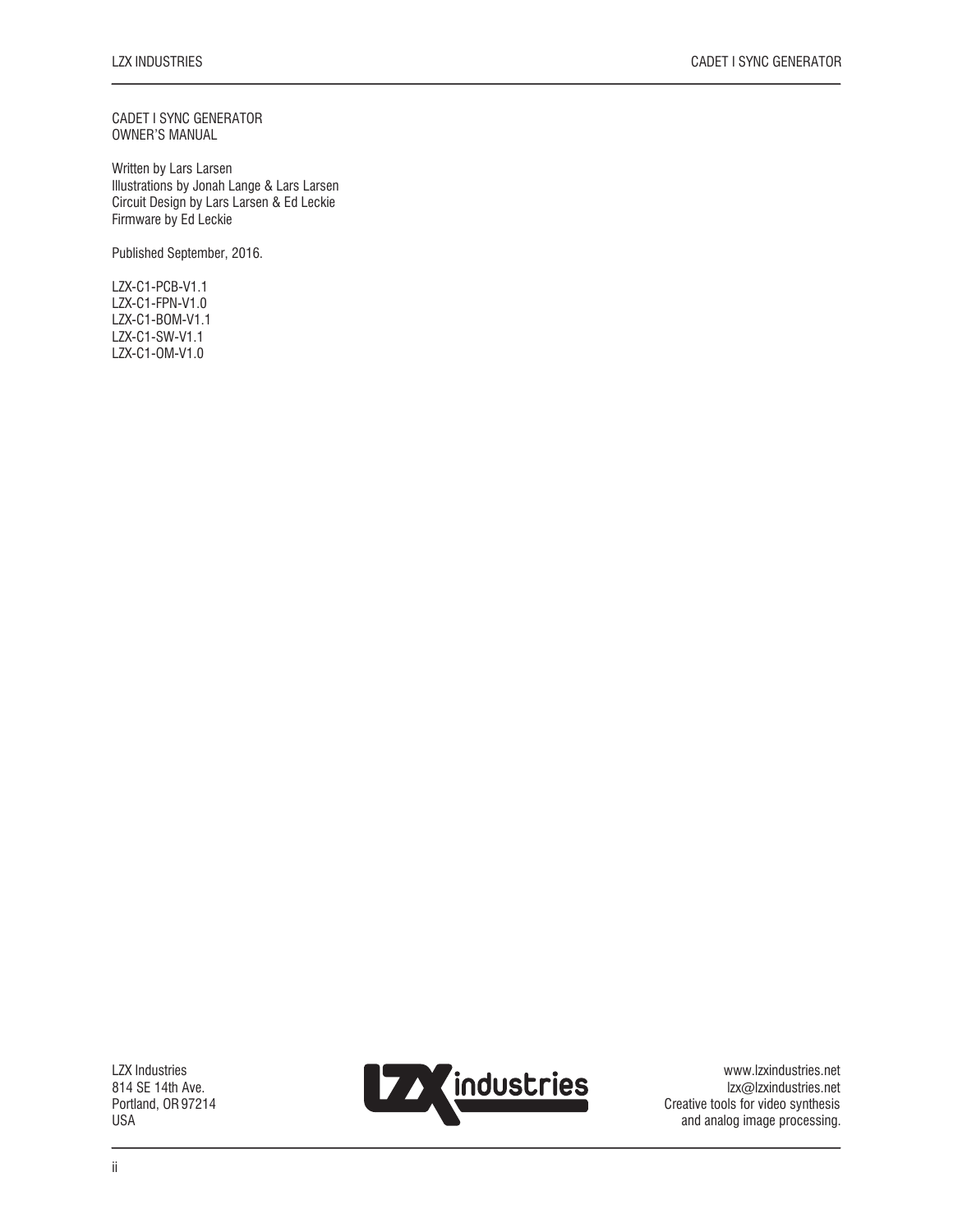CADET I SYNC GENERATOR OWNER'S MANUAL

Written by Lars Larsen Illustrations by Jonah Lange & Lars Larsen Circuit Design by Lars Larsen & Ed Leckie Firmware by Ed Leckie

Published September, 2016.

LZX-C1-PCB-V1.1 LZX-C1-FPN-V1.0 LZX-C1-BOM-V1.1 LZX-C1-SW-V1.1 LZX-C1-OM-V1.0

LZX Industries 814 SE 14th Ave. Portland, OR 97214 USA



www.lzxindustries.net lzx@lzxindustries.net Creative tools for video synthesis and analog image processing.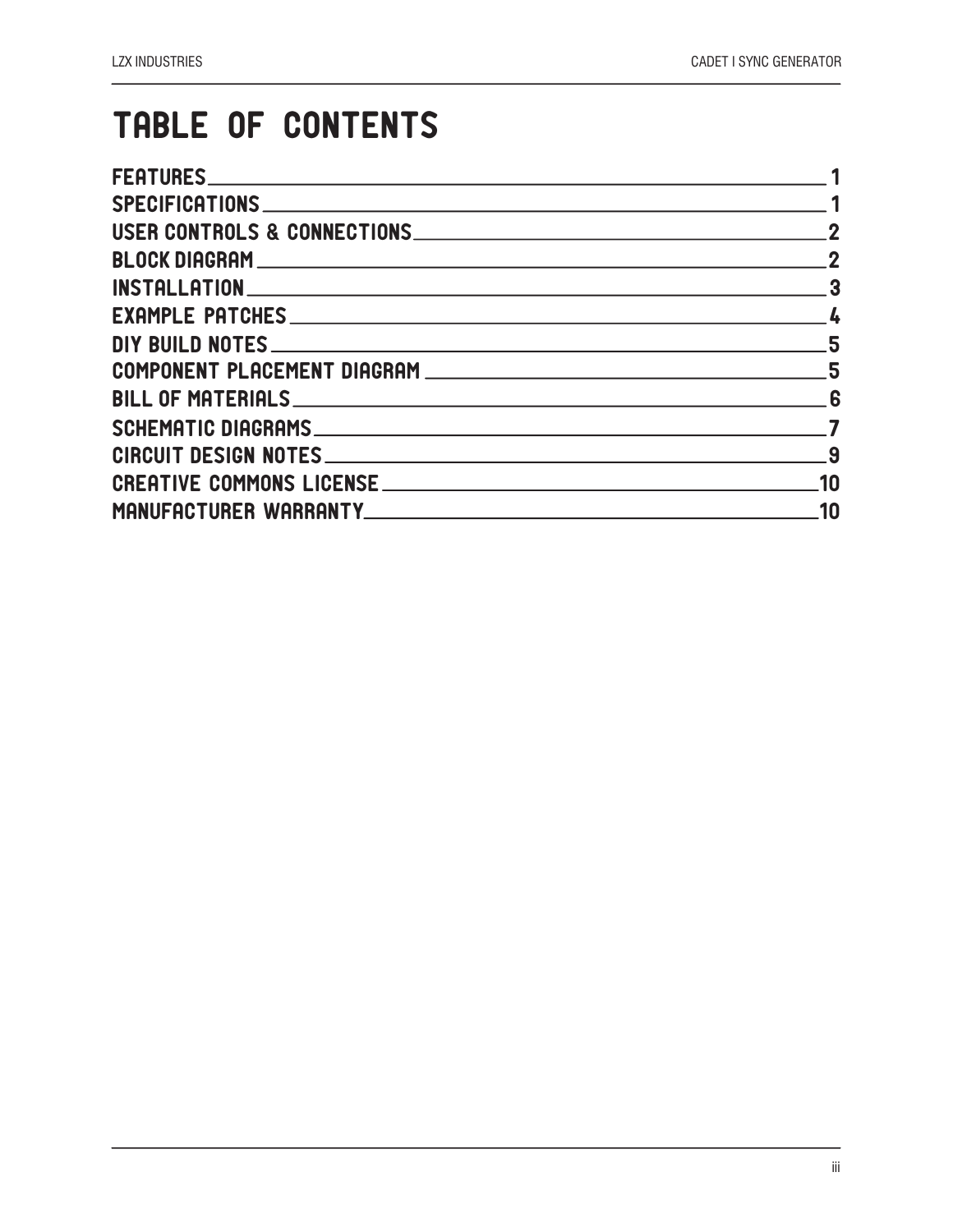## TABLE OF CONTENTS

| USER CONTROLS & CONNECTIONS CONSERVATION CONTROLS & CONNECTIONS                                                | $\overline{2}$ |
|----------------------------------------------------------------------------------------------------------------|----------------|
|                                                                                                                | $\sim$ 2       |
|                                                                                                                | $\sim$ 3       |
|                                                                                                                |                |
|                                                                                                                |                |
| COMPONENT PLACEMENT DIAGRAM RESERVED AND THE STATE OF STATE AND THE STATE OF STATE OF STATE OF STATE AND THE S |                |
|                                                                                                                |                |
|                                                                                                                |                |
|                                                                                                                | 9              |
|                                                                                                                | .10            |
| MANUFACTURER WARRANTYNNALL AND CONTROL AND CONTROL AND THE CONTROL AND THE CONTROL OF THE CONTROL OF THE CONTR | .10            |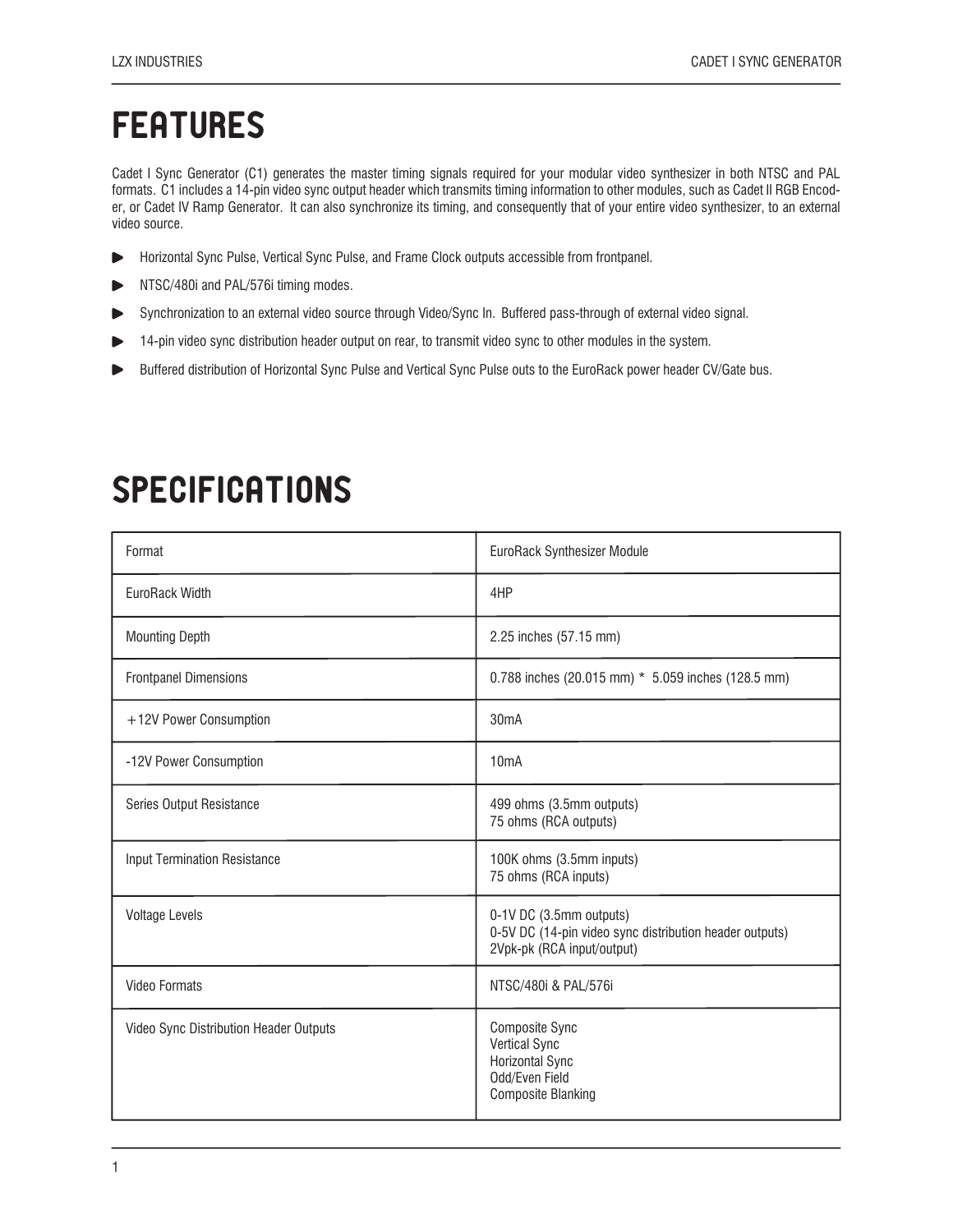### **FEATURES**

Cadet I Sync Generator (C1) generates the master timing signals required for your modular video synthesizer in both NTSC and PAL formats. C1 includes a 14-pin video sync output header which transmits timing information to other modules, such as Cadet II RGB Encoder, or Cadet IV Ramp Generator. It can also synchronize its timing, and consequently that of your entire video synthesizer, to an external video source.

- Horizontal Sync Pulse, Vertical Sync Pulse, and Frame Clock outputs accessible from frontpanel. ь
- NTSC/480i and PAL/576i timing modes.
- Synchronization to an external video source through Video/Sync In. Buffered pass-through of external video signal.
- 14-pin video sync distribution header output on rear, to transmit video sync to other modules in the system. ь
- Buffered distribution of Horizontal Sync Pulse and Vertical Sync Pulse outs to the EuroRack power header CV/Gate bus. ь

| Format                                 | EuroRack Synthesizer Module                                                                                            |  |
|----------------------------------------|------------------------------------------------------------------------------------------------------------------------|--|
| EuroRack Width                         | 4HP                                                                                                                    |  |
| <b>Mounting Depth</b>                  | 2.25 inches (57.15 mm)                                                                                                 |  |
| <b>Frontpanel Dimensions</b>           | 0.788 inches (20.015 mm) * 5.059 inches (128.5 mm)                                                                     |  |
| +12V Power Consumption                 | 30mA                                                                                                                   |  |
| -12V Power Consumption                 | 10 <sub>m</sub> A                                                                                                      |  |
| Series Output Resistance               | 499 ohms (3.5mm outputs)<br>75 ohms (RCA outputs)                                                                      |  |
| <b>Input Termination Resistance</b>    | 100K ohms (3.5mm inputs)<br>75 ohms (RCA inputs)                                                                       |  |
| <b>Voltage Levels</b>                  | 0-1V DC (3.5mm outputs)<br>0-5V DC (14-pin video sync distribution header outputs)<br>2Vpk-pk (RCA input/output)       |  |
| <b>Video Formats</b>                   | NTSC/480i & PAL/576i                                                                                                   |  |
| Video Sync Distribution Header Outputs | <b>Composite Sync</b><br><b>Vertical Sync</b><br><b>Horizontal Sync</b><br>Odd/Even Field<br><b>Composite Blanking</b> |  |

## SPECIFICATIONS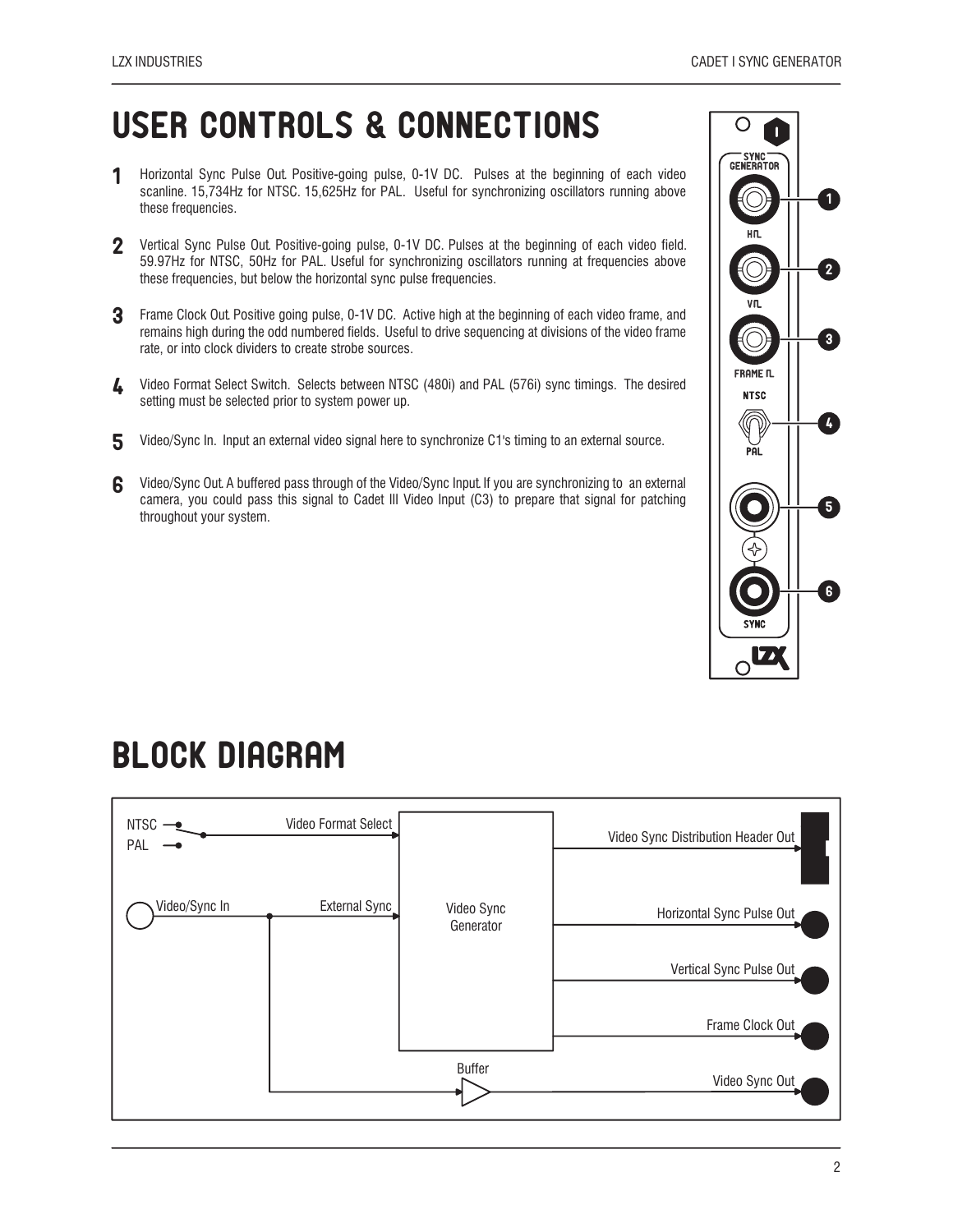## USER CONTROLS & CONNECTIONS

- Horizontal Sync Pulse Out. Positive-going pulse, 0-1V DC. Pulses at the beginning of each video scanline. 15,734Hz for NTSC. 15,625Hz for PAL. Useful for synchronizing oscillators running above these frequencies. 1
- 2 Vertical Sync Pulse Out. Positive-going pulse, 0-1V DC. Pulses at the beginning of each video field. 59.97Hz for NTSC, 50Hz for PAL. Useful for synchronizing oscillators running at frequencies above these frequencies, but below the horizontal sync pulse frequencies.
- **3** Frame Clock Out. Positive going pulse, 0-1V DC. Active high at the beginning of each video frame, and remains high during the odd numbered fields. Useful to drive sequencing at divisions of the video frame rate, or into clock dividers to create strobe sources.
- 4 Video Format Select Switch. Selects between NTSC (480i) and PAL (576i) sync timings. The desired setting must be selected prior to system power up.
- 5 Video/Sync In. Input an external video signal here to synchronize C1's timing to an external source.
- Video/Sync Out. A buffered pass through of the Video/Sync Input. If you are synchronizing to an external camera, you could pass this signal to Cadet III Video Input (C3) to prepare that signal for patching throughout your system. 6



### BLOCK DIAGRAM

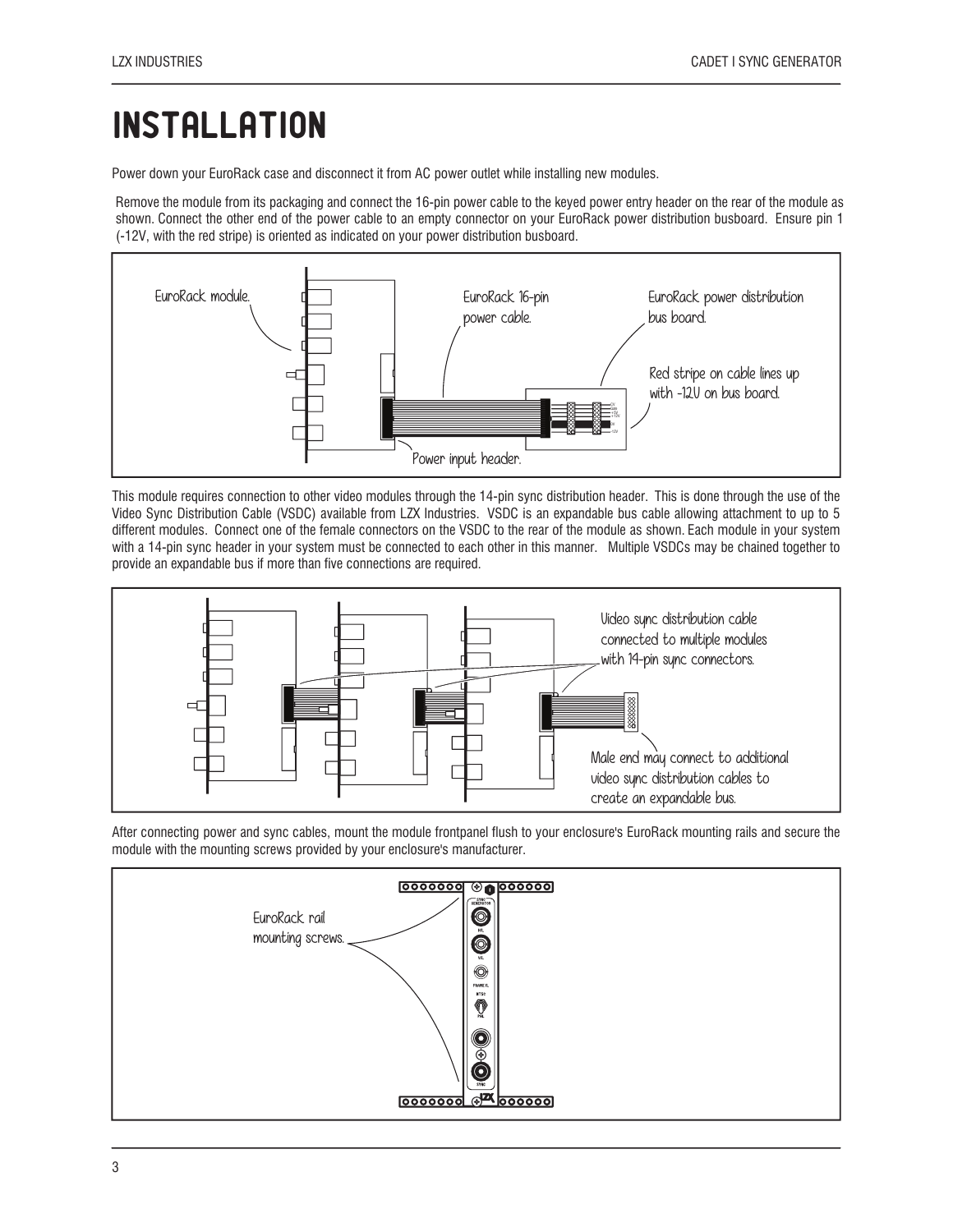# **INSTALLATION**

Power down your EuroRack case and disconnect it from AC power outlet while installing new modules.

Remove the module from its packaging and connect the 16-pin power cable to the keyed power entry header on the rear of the module as shown. Connect the other end of the power cable to an empty connector on your EuroRack power distribution busboard. Ensure pin 1 (-12V, with the red stripe) is oriented as indicated on your power distribution busboard.



This module requires connection to other video modules through the 14-pin sync distribution header. This is done through the use of the Video Sync Distribution Cable (VSDC) available from LZX Industries. VSDC is an expandable bus cable allowing attachment to up to 5 different modules. Connect one of the female connectors on the VSDC to the rear of the module as shown. Each module in your system with a 14-pin sync header in your system must be connected to each other in this manner. Multiple VSDCs may be chained together to provide an expandable bus if more than five connections are required.



After connecting power and sync cables, mount the module frontpanel flush to your enclosure's EuroRack mounting rails and secure the module with the mounting screws provided by your enclosure's manufacturer.

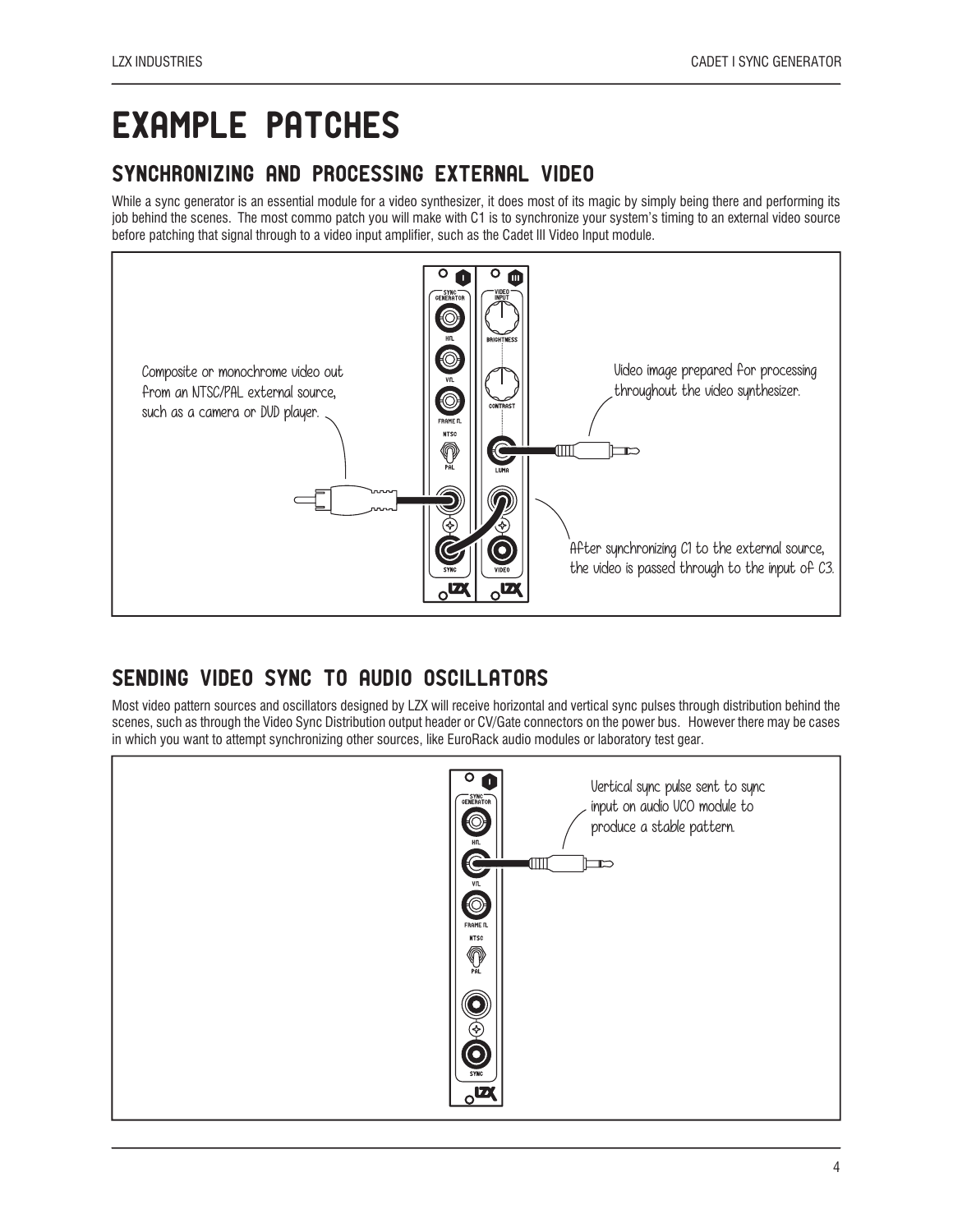## EXAMPLE PATCHES

#### SYNCHRONIZING AND PROCESSING EXTERNAL VIDEO

While a sync generator is an essential module for a video synthesizer, it does most of its magic by simply being there and performing its job behind the scenes. The most commo patch you will make with C1 is to synchronize your system's timing to an external video source before patching that signal through to a video input amplifier, such as the Cadet III Video Input module.



#### SENDING VIDEO SYNC TO AUDIO OSCILLATORS

Most video pattern sources and oscillators designed by LZX will receive horizontal and vertical sync pulses through distribution behind the scenes, such as through the Video Sync Distribution output header or CV/Gate connectors on the power bus. However there may be cases in which you want to attempt synchronizing other sources, like EuroRack audio modules or laboratory test gear.

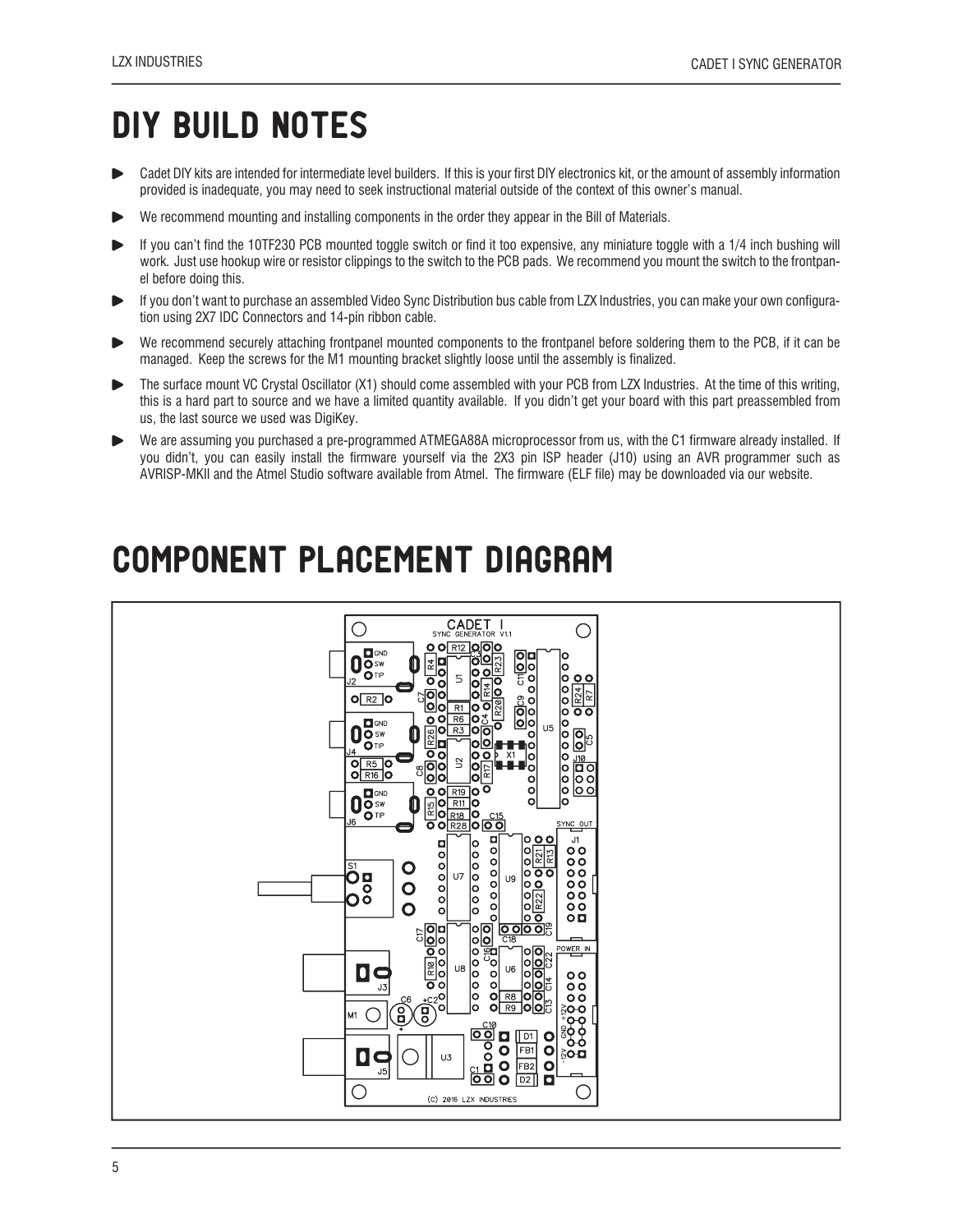# DIY BUILD NOTES

- Cadet DIY kits are intended for intermediate level builders. If this is your first DIY electronics kit, or the amount of assembly information  $\blacktriangleright$ provided is inadequate, you may need to seek instructional material outside of the context of this owner's manual.
- We recommend mounting and installing components in the order they appear in the Bill of Materials.
- If you can't find the 10TF230 PCB mounted toggle switch or find it too expensive, any miniature toggle with a 1/4 inch bushing will work. Just use hookup wire or resistor clippings to the switch to the PCB pads. We recommend you mount the switch to the frontpanel before doing this.
- If you don't want to purchase an assembled Video Sync Distribution bus cable from LZX Industries, you can make your own configuration using 2X7 IDC Connectors and 14-pin ribbon cable.
- We recommend securely attaching frontpanel mounted components to the frontpanel before soldering them to the PCB, if it can be managed. Keep the screws for the M1 mounting bracket slightly loose until the assembly is finalized.
- The surface mount VC Crystal Oscillator (X1) should come assembled with your PCB from LZX Industries. At the time of this writing, ь this is a hard part to source and we have a limited quantity available. If you didn't get your board with this part preassembled from us, the last source we used was DigiKey.
- We are assuming you purchased a pre-programmed ATMEGA88A microprocessor from us, with the C1 firmware already installed. If ь you didn't, you can easily install the firmware yourself via the 2X3 pin ISP header (J10) using an AVR programmer such as AVRISP-MKII and the Atmel Studio software available from Atmel. The firmware (ELF file) may be downloaded via our website.

### COMPONENT PLACEMENT DIAGRAM

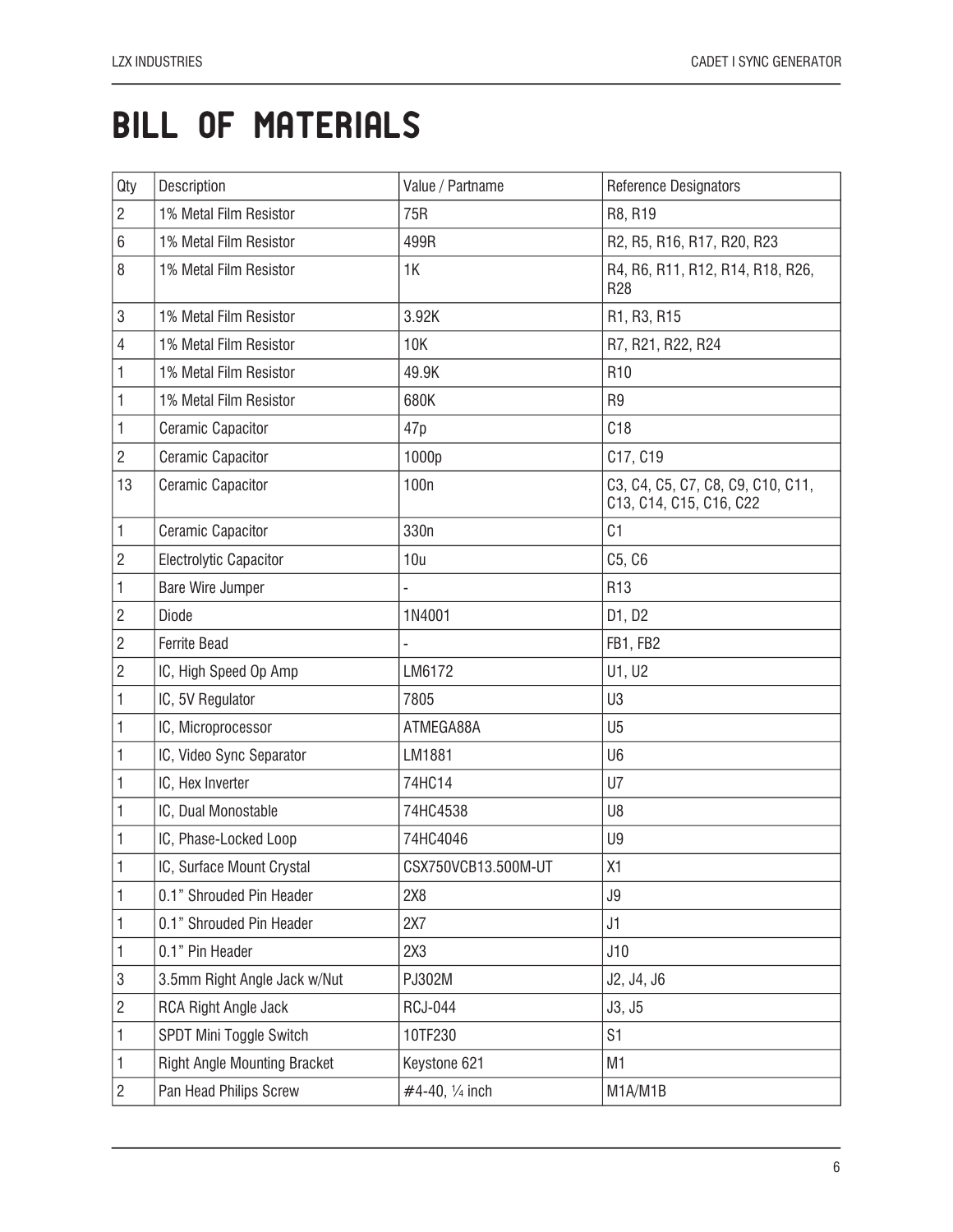## BILL OF MATERIALS

| Qty            | Description                         | Value / Partname    | <b>Reference Designators</b>                                 |
|----------------|-------------------------------------|---------------------|--------------------------------------------------------------|
| $\overline{2}$ | 1% Metal Film Resistor              | 75R                 | R8, R19                                                      |
| 6              | 1% Metal Film Resistor              | 499R                | R2, R5, R16, R17, R20, R23                                   |
| 8              | 1% Metal Film Resistor              | 1K                  | R4, R6, R11, R12, R14, R18, R26,<br><b>R28</b>               |
| 3              | 1% Metal Film Resistor              | 3.92K               | R1, R3, R15                                                  |
| 4              | 1% Metal Film Resistor              | 10K                 | R7, R21, R22, R24                                            |
| 1              | 1% Metal Film Resistor              | 49.9K               | R <sub>10</sub>                                              |
| 1              | 1% Metal Film Resistor              | 680K                | R <sub>9</sub>                                               |
| 1              | Ceramic Capacitor                   | 47p                 | C18                                                          |
| $\overline{c}$ | Ceramic Capacitor                   | 1000p               | C17, C19                                                     |
| 13             | <b>Ceramic Capacitor</b>            | 100 <sub>n</sub>    | C3, C4, C5, C7, C8, C9, C10, C11,<br>C13, C14, C15, C16, C22 |
| 1              | <b>Ceramic Capacitor</b>            | 330n                | C <sub>1</sub>                                               |
| $\overline{c}$ | <b>Electrolytic Capacitor</b>       | 10u                 | C5, C6                                                       |
| 1              | Bare Wire Jumper                    |                     | R <sub>13</sub>                                              |
| $\overline{c}$ | Diode                               | 1N4001              | D1, D2                                                       |
| $\overline{2}$ | <b>Ferrite Bead</b>                 |                     | FB1, FB2                                                     |
| $\overline{2}$ | IC, High Speed Op Amp               | LM6172              | U1, U2                                                       |
| 1              | IC, 5V Regulator                    | 7805                | U <sub>3</sub>                                               |
| 1              | IC, Microprocessor                  | ATMEGA88A           | U <sub>5</sub>                                               |
| 1              | IC, Video Sync Separator            | LM1881              | U <sub>6</sub>                                               |
| 1              | IC, Hex Inverter                    | 74HC14              | U7                                                           |
| 1              | IC, Dual Monostable                 | 74HC4538            | U8                                                           |
| 1              | IC, Phase-Locked Loop               | 74HC4046            | U9                                                           |
| 1              | IC, Surface Mount Crystal           | CSX750VCB13.500M-UT | X1                                                           |
| 1              | 0.1" Shrouded Pin Header            | 2X8                 | J9                                                           |
| 1              | 0.1" Shrouded Pin Header            | 2X7                 | J1                                                           |
| 1              | 0.1" Pin Header                     | 2X3                 | J10                                                          |
| 3              | 3.5mm Right Angle Jack w/Nut        | PJ302M              | J2, J4, J6                                                   |
| $\overline{2}$ | RCA Right Angle Jack                | <b>RCJ-044</b>      | J3, J5                                                       |
| 1              | SPDT Mini Toggle Switch             | 10TF230             | S <sub>1</sub>                                               |
| 1              | <b>Right Angle Mounting Bracket</b> | Keystone 621        | M1                                                           |
| $\overline{c}$ | Pan Head Philips Screw              | #4-40, 1/4 inch     | M1A/M1B                                                      |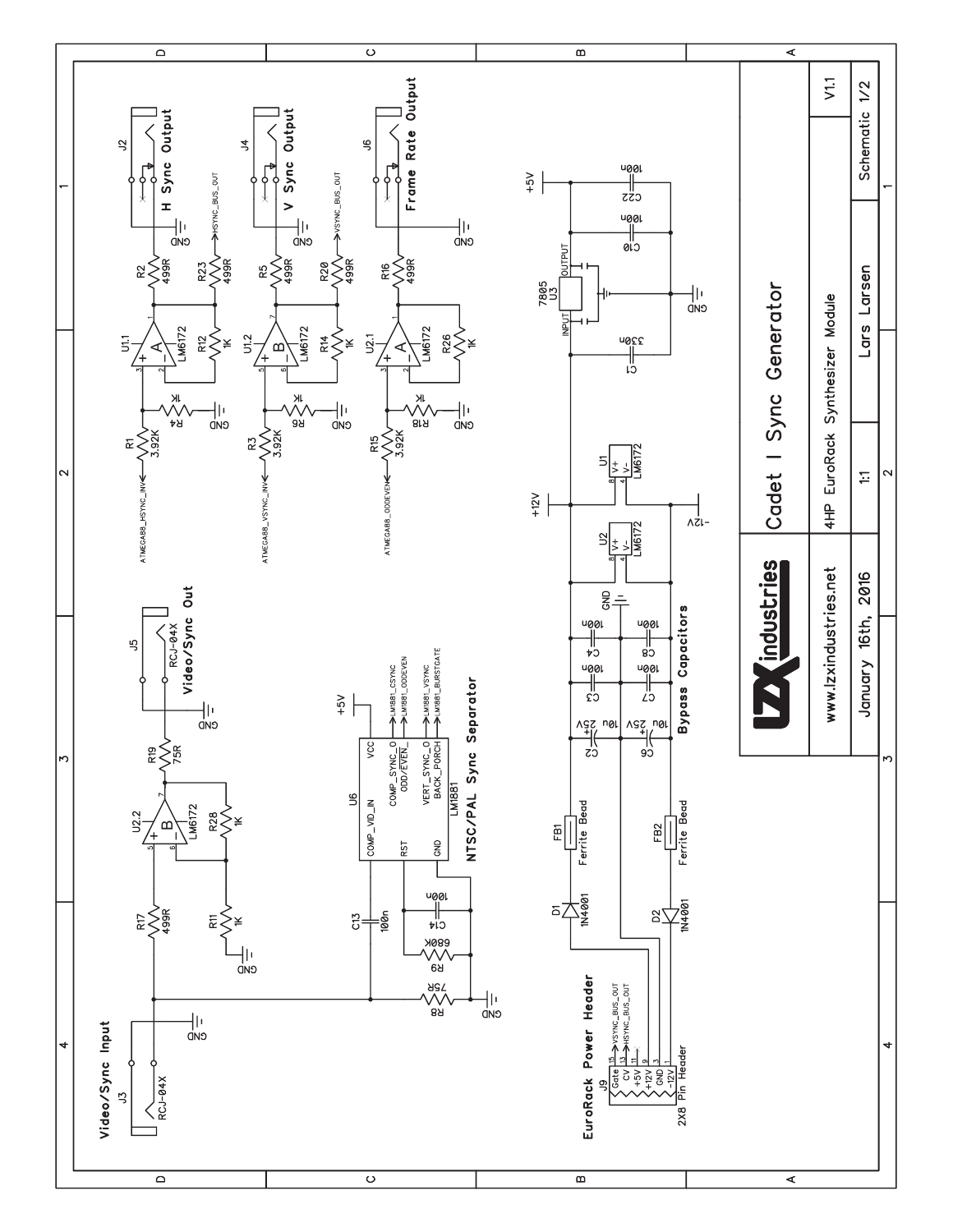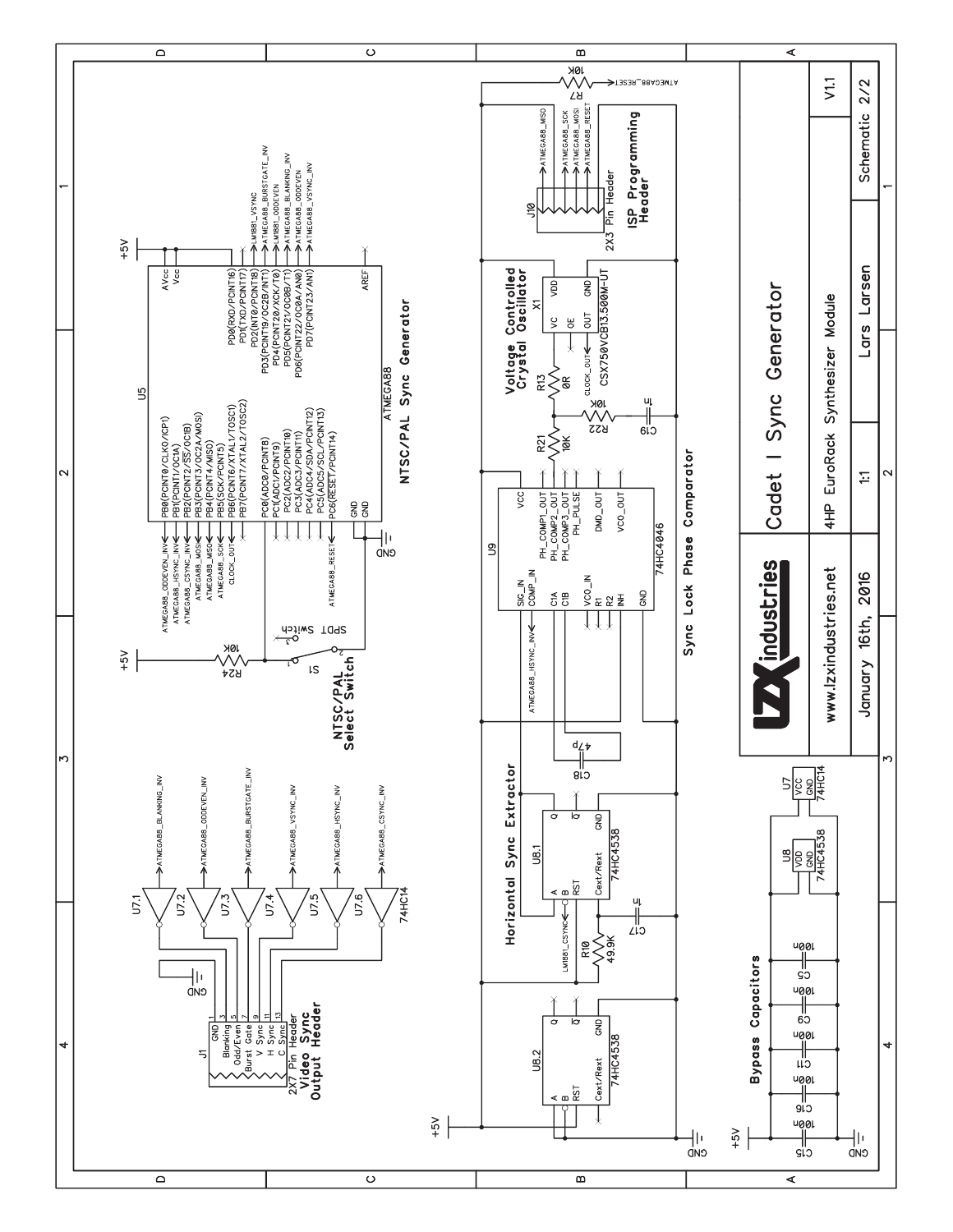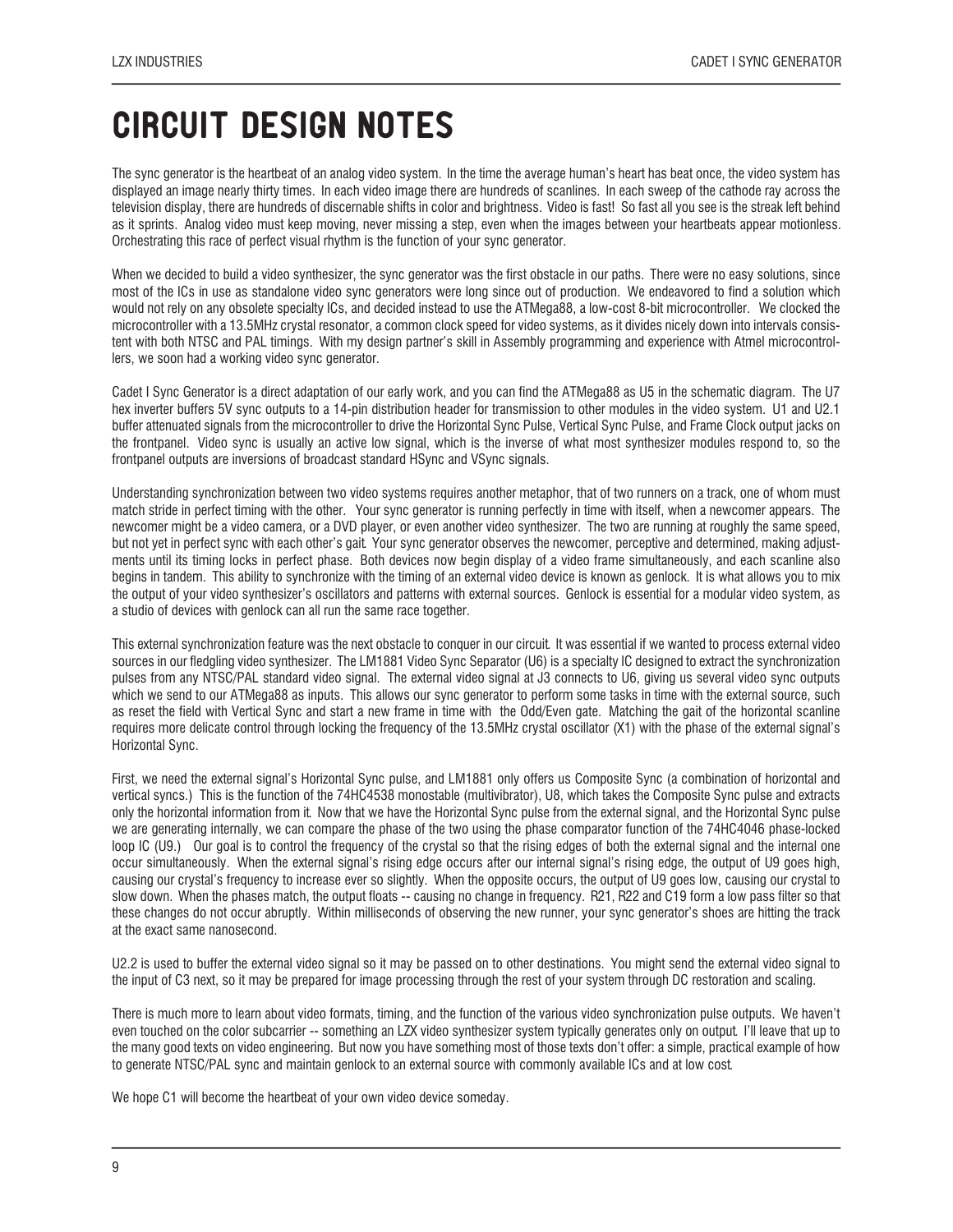### CIRCUIT DESIGN NOTes

The sync generator is the heartbeat of an analog video system. In the time the average human's heart has beat once, the video system has displayed an image nearly thirty times. In each video image there are hundreds of scanlines. In each sweep of the cathode ray across the television display, there are hundreds of discernable shifts in color and brightness. Video is fast! So fast all you see is the streak left behind as it sprints. Analog video must keep moving, never missing a step, even when the images between your heartbeats appear motionless. Orchestrating this race of perfect visual rhythm is the function of your sync generator.

When we decided to build a video synthesizer, the sync generator was the first obstacle in our paths. There were no easy solutions, since most of the ICs in use as standalone video sync generators were long since out of production. We endeavored to find a solution which would not rely on any obsolete specialty ICs, and decided instead to use the ATMega88, a low-cost 8-bit microcontroller. We clocked the microcontroller with a 13.5MHz crystal resonator, a common clock speed for video systems, as it divides nicely down into intervals consistent with both NTSC and PAL timings. With my design partner's skill in Assembly programming and experience with Atmel microcontrollers, we soon had a working video sync generator.

Cadet I Sync Generator is a direct adaptation of our early work, and you can find the ATMega88 as U5 in the schematic diagram. The U7 hex inverter buffers 5V sync outputs to a 14-pin distribution header for transmission to other modules in the video system. U1 and U2.1 buffer attenuated signals from the microcontroller to drive the Horizontal Sync Pulse, Vertical Sync Pulse, and Frame Clock output jacks on the frontpanel. Video sync is usually an active low signal, which is the inverse of what most synthesizer modules respond to, so the frontpanel outputs are inversions of broadcast standard HSync and VSync signals.

Understanding synchronization between two video systems requires another metaphor, that of two runners on a track, one of whom must match stride in perfect timing with the other. Your sync generator is running perfectly in time with itself, when a newcomer appears. The newcomer might be a video camera, or a DVD player, or even another video synthesizer. The two are running at roughly the same speed, but not yet in perfect sync with each other's gait. Your sync generator observes the newcomer, perceptive and determined, making adjustments until its timing locks in perfect phase. Both devices now begin display of a video frame simultaneously, and each scanline also begins in tandem. This ability to synchronize with the timing of an external video device is known as genlock. It is what allows you to mix the output of your video synthesizer's oscillators and patterns with external sources. Genlock is essential for a modular video system, as a studio of devices with genlock can all run the same race together.

This external synchronization feature was the next obstacle to conquer in our circuit. It was essential if we wanted to process external video sources in our fledgling video synthesizer. The LM1881 Video Sync Separator (U6) is a specialty IC designed to extract the synchronization pulses from any NTSC/PAL standard video signal. The external video signal at J3 connects to U6, giving us several video sync outputs which we send to our ATMega88 as inputs. This allows our sync generator to perform some tasks in time with the external source, such as reset the field with Vertical Sync and start a new frame in time with the Odd/Even gate. Matching the gait of the horizontal scanline requires more delicate control through locking the frequency of the 13.5MHz crystal oscillator (X1) with the phase of the external signal's Horizontal Sync.

First, we need the external signal's Horizontal Sync pulse, and LM1881 only offers us Composite Sync (a combination of horizontal and vertical syncs.) This is the function of the 74HC4538 monostable (multivibrator), U8, which takes the Composite Sync pulse and extracts only the horizontal information from it. Now that we have the Horizontal Sync pulse from the external signal, and the Horizontal Sync pulse we are generating internally, we can compare the phase of the two using the phase comparator function of the 74HC4046 phase-locked loop IC (U9.) Our goal is to control the frequency of the crystal so that the rising edges of both the external signal and the internal one occur simultaneously. When the external signal's rising edge occurs after our internal signal's rising edge, the output of U9 goes high, causing our crystal's frequency to increase ever so slightly. When the opposite occurs, the output of U9 goes low, causing our crystal to slow down. When the phases match, the output floats -- causing no change in frequency. R21, R22 and C19 form a low pass filter so that these changes do not occur abruptly. Within milliseconds of observing the new runner, your sync generator's shoes are hitting the track at the exact same nanosecond.

U2.2 is used to buffer the external video signal so it may be passed on to other destinations. You might send the external video signal to the input of C3 next, so it may be prepared for image processing through the rest of your system through DC restoration and scaling.

There is much more to learn about video formats, timing, and the function of the various video synchronization pulse outputs. We haven't even touched on the color subcarrier -- something an LZX video synthesizer system typically generates only on output. I'll leave that up to the many good texts on video engineering. But now you have something most of those texts don't offer: a simple, practical example of how to generate NTSC/PAL sync and maintain genlock to an external source with commonly available ICs and at low cost.

We hope C1 will become the heartbeat of your own video device someday.